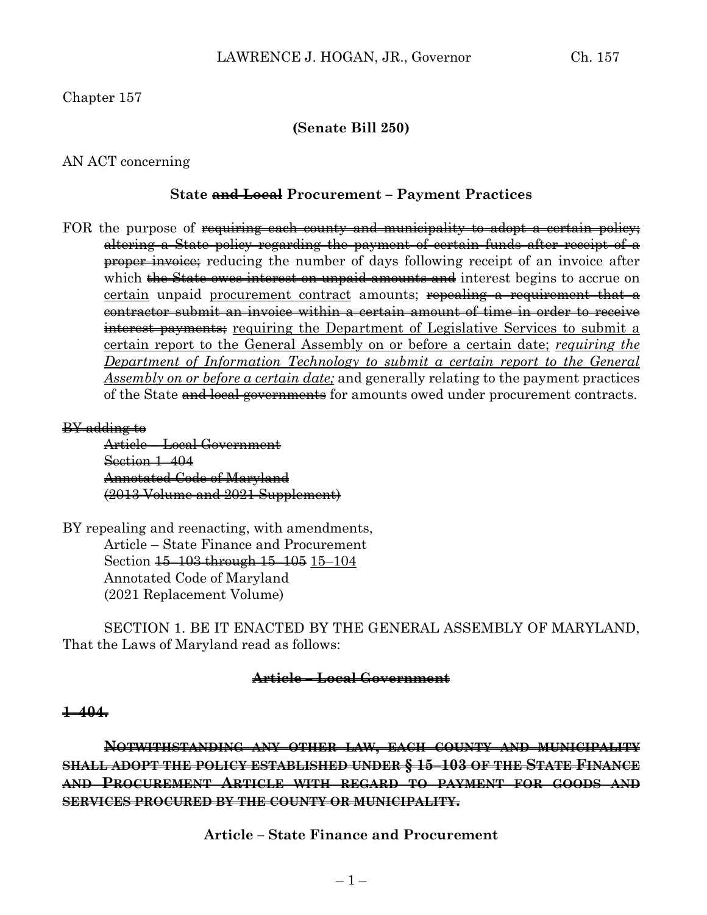## **(Senate Bill 250)**

### AN ACT concerning

#### **State and Local Procurement – Payment Practices**

FOR the purpose of requiring each county and municipality to adopt a certain policy; altering a State policy regarding the payment of certain funds after receipt of a **proper invoice**; reducing the number of days following receipt of an invoice after which <del>the State owes interest on unpaid amounts and</del> interest begins to accrue on certain unpaid procurement contract amounts; repealing a requirement that a contractor submit an invoice within a certain amount of time in order to receive interest payments; requiring the Department of Legislative Services to submit a certain report to the General Assembly on or before a certain date; *requiring the Department of Information Technology to submit a certain report to the General Assembly on or before a certain date;* and generally relating to the payment practices of the State and local governments for amounts owed under procurement contracts.

#### BY adding to

Article – Local Government Section 1–404 Annotated Code of Maryland (2013 Volume and 2021 Supplement)

BY repealing and reenacting, with amendments, Article – State Finance and Procurement Section 15–103 through 15–105 15–104 Annotated Code of Maryland (2021 Replacement Volume)

SECTION 1. BE IT ENACTED BY THE GENERAL ASSEMBLY OF MARYLAND, That the Laws of Maryland read as follows:

#### **Article – Local Government**

#### **1–404.**

**NOTWITHSTANDING ANY OTHER LAW, EACH COUNTY AND MUNICIPALITY SHALL ADOPT THE POLICY ESTABLISHED UNDER § 15–103 OF THE STATE FINANCE AND PROCUREMENT ARTICLE WITH REGARD TO PAYMENT FOR GOODS AND SERVICES PROCURED BY THE COUNTY OR MUNICIPALITY.**

**Article – State Finance and Procurement**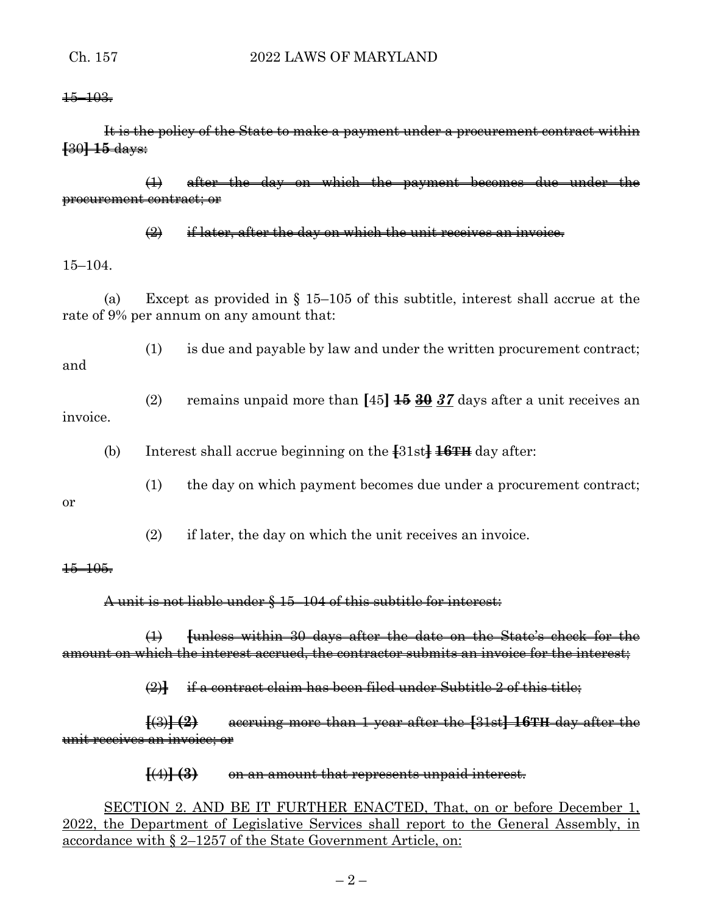$+5-10.3$ 

It is the policy of the State to make a payment under a procurement contract within **[**30**] 15** days:

(1) after the day on which the payment becomes due under the procurement contract; or

 $\bigoplus$  if later, after the day on which the unit receives an invoice.

15–104.

(a) Except as provided in § 15–105 of this subtitle, interest shall accrue at the rate of 9% per annum on any amount that:

(1) is due and payable by law and under the written procurement contract;

and

(2) remains unpaid more than **[**45**] 15 30** *37* days after a unit receives an invoice.

(b) Interest shall accrue beginning on the **[**31st**] 16TH** day after:

(1) the day on which payment becomes due under a procurement contract;

or

(2) if later, the day on which the unit receives an invoice.

#### 15–105.

# A unit is not liable under § 15–104 of this subtitle for interest:

(1) **[**unless within 30 days after the date on the State's check for the amount on which the interest accrued, the contractor submits an invoice for the interest;

(2)**]** if a contract claim has been filed under Subtitle 2 of this title;

**[**(3)**] (2)** accruing more than 1 year after the **[**31st**] 16TH** day after the unit receives an invoice; or

# **[**(4)**] (3)** on an amount that represents unpaid interest.

SECTION 2. AND BE IT FURTHER ENACTED, That, on or before December 1, 2022, the Department of Legislative Services shall report to the General Assembly, in accordance with § 2–1257 of the State Government Article, on: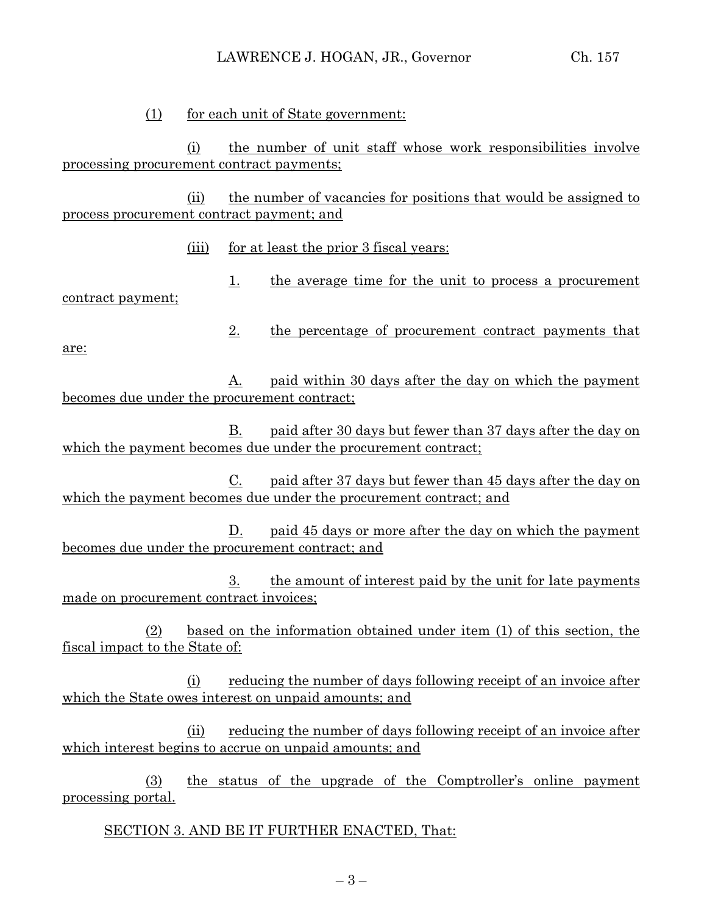(1) for each unit of State government:

(i) the number of unit staff whose work responsibilities involve processing procurement contract payments;

(ii) the number of vacancies for positions that would be assigned to process procurement contract payment; and

(iii) for at least the prior 3 fiscal years:

1. the average time for the unit to process a procurement contract payment;

2. the percentage of procurement contract payments that

are:

A. paid within 30 days after the day on which the payment becomes due under the procurement contract;

B. paid after 30 days but fewer than 37 days after the day on which the payment becomes due under the procurement contract;

C. paid after 37 days but fewer than 45 days after the day on which the payment becomes due under the procurement contract; and

D. paid 45 days or more after the day on which the payment becomes due under the procurement contract; and

3. the amount of interest paid by the unit for late payments made on procurement contract invoices;

(2) based on the information obtained under item (1) of this section, the fiscal impact to the State of:

(i) reducing the number of days following receipt of an invoice after which the State owes interest on unpaid amounts; and

(ii) reducing the number of days following receipt of an invoice after which interest begins to accrue on unpaid amounts; and

(3) the status of the upgrade of the Comptroller's online payment processing portal.

SECTION 3. AND BE IT FURTHER ENACTED, That: